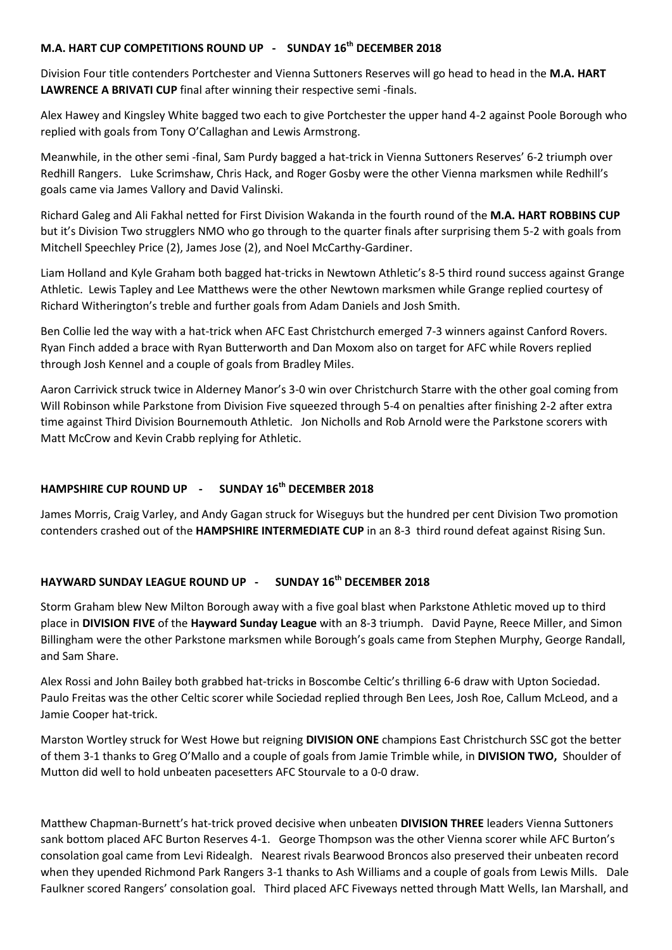## **M.A. HART CUP COMPETITIONS ROUND UP - SUNDAY 16th DECEMBER 2018**

Division Four title contenders Portchester and Vienna Suttoners Reserves will go head to head in the **M.A. HART LAWRENCE A BRIVATI CUP** final after winning their respective semi -finals.

Alex Hawey and Kingsley White bagged two each to give Portchester the upper hand 4-2 against Poole Borough who replied with goals from Tony O'Callaghan and Lewis Armstrong.

Meanwhile, in the other semi -final, Sam Purdy bagged a hat-trick in Vienna Suttoners Reserves' 6-2 triumph over Redhill Rangers. Luke Scrimshaw, Chris Hack, and Roger Gosby were the other Vienna marksmen while Redhill's goals came via James Vallory and David Valinski.

Richard Galeg and Ali Fakhal netted for First Division Wakanda in the fourth round of the **M.A. HART ROBBINS CUP** but it's Division Two strugglers NMO who go through to the quarter finals after surprising them 5-2 with goals from Mitchell Speechley Price (2), James Jose (2), and Noel McCarthy-Gardiner.

Liam Holland and Kyle Graham both bagged hat-tricks in Newtown Athletic's 8-5 third round success against Grange Athletic. Lewis Tapley and Lee Matthews were the other Newtown marksmen while Grange replied courtesy of Richard Witherington's treble and further goals from Adam Daniels and Josh Smith.

Ben Collie led the way with a hat-trick when AFC East Christchurch emerged 7-3 winners against Canford Rovers. Ryan Finch added a brace with Ryan Butterworth and Dan Moxom also on target for AFC while Rovers replied through Josh Kennel and a couple of goals from Bradley Miles.

Aaron Carrivick struck twice in Alderney Manor's 3-0 win over Christchurch Starre with the other goal coming from Will Robinson while Parkstone from Division Five squeezed through 5-4 on penalties after finishing 2-2 after extra time against Third Division Bournemouth Athletic. Jon Nicholls and Rob Arnold were the Parkstone scorers with Matt McCrow and Kevin Crabb replying for Athletic.

## **HAMPSHIRE CUP ROUND UP - SUNDAY 16th DECEMBER 2018**

James Morris, Craig Varley, and Andy Gagan struck for Wiseguys but the hundred per cent Division Two promotion contenders crashed out of the **HAMPSHIRE INTERMEDIATE CUP** in an 8-3 third round defeat against Rising Sun.

## **HAYWARD SUNDAY LEAGUE ROUND UP - SUNDAY 16th DECEMBER 2018**

Storm Graham blew New Milton Borough away with a five goal blast when Parkstone Athletic moved up to third place in **DIVISION FIVE** of the **Hayward Sunday League** with an 8-3 triumph.David Payne, Reece Miller, and Simon Billingham were the other Parkstone marksmen while Borough's goals came from Stephen Murphy, George Randall, and Sam Share.

Alex Rossi and John Bailey both grabbed hat-tricks in Boscombe Celtic's thrilling 6-6 draw with Upton Sociedad. Paulo Freitas was the other Celtic scorer while Sociedad replied through Ben Lees, Josh Roe, Callum McLeod, and a Jamie Cooper hat-trick.

Marston Wortley struck for West Howe but reigning **DIVISION ONE** champions East Christchurch SSC got the better of them 3-1 thanks to Greg O'Mallo and a couple of goals from Jamie Trimble while, in **DIVISION TWO,** Shoulder of Mutton did well to hold unbeaten pacesetters AFC Stourvale to a 0-0 draw.

Matthew Chapman-Burnett's hat-trick proved decisive when unbeaten **DIVISION THREE** leaders Vienna Suttoners sank bottom placed AFC Burton Reserves 4-1. George Thompson was the other Vienna scorer while AFC Burton's consolation goal came from Levi Ridealgh. Nearest rivals Bearwood Broncos also preserved their unbeaten record when they upended Richmond Park Rangers 3-1 thanks to Ash Williams and a couple of goals from Lewis Mills. Dale Faulkner scored Rangers' consolation goal. Third placed AFC Fiveways netted through Matt Wells, Ian Marshall, and